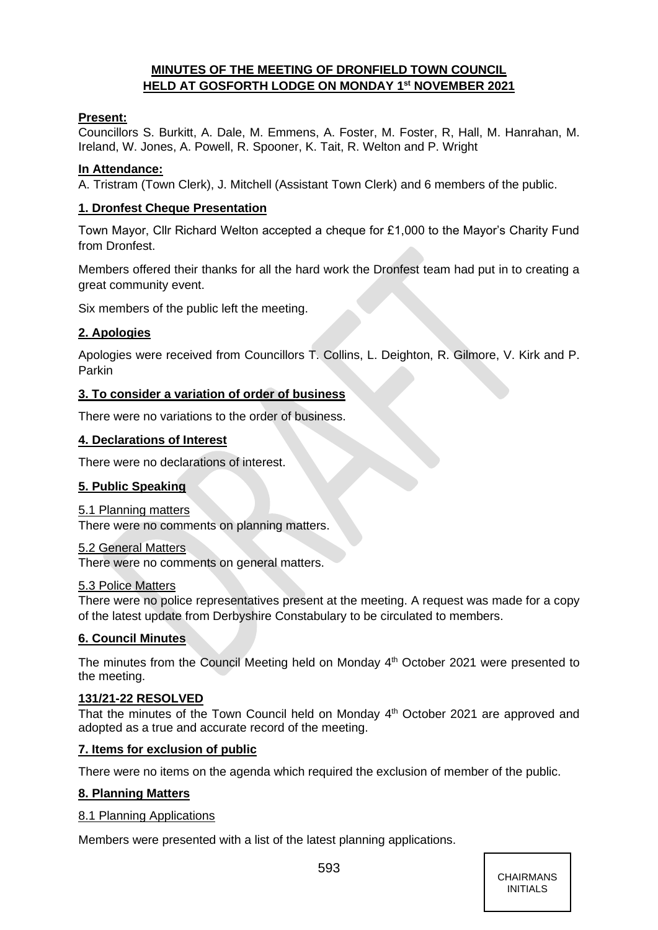# **MINUTES OF THE MEETING OF DRONFIELD TOWN COUNCIL HELD AT GOSFORTH LODGE ON MONDAY 1 st NOVEMBER 2021**

## **Present:**

Councillors S. Burkitt, A. Dale, M. Emmens, A. Foster, M. Foster, R, Hall, M. Hanrahan, M. Ireland, W. Jones, A. Powell, R. Spooner, K. Tait, R. Welton and P. Wright

## **In Attendance:**

A. Tristram (Town Clerk), J. Mitchell (Assistant Town Clerk) and 6 members of the public.

## **1. Dronfest Cheque Presentation**

Town Mayor, Cllr Richard Welton accepted a cheque for £1,000 to the Mayor's Charity Fund from Dronfest.

Members offered their thanks for all the hard work the Dronfest team had put in to creating a great community event.

Six members of the public left the meeting.

# **2. Apologies**

Apologies were received from Councillors T. Collins, L. Deighton, R. Gilmore, V. Kirk and P. Parkin

## **3. To consider a variation of order of business**

There were no variations to the order of business.

## **4. Declarations of Interest**

There were no declarations of interest.

# **5. Public Speaking**

## 5.1 Planning matters

There were no comments on planning matters.

## 5.2 General Matters

There were no comments on general matters.

## 5.3 Police Matters

There were no police representatives present at the meeting. A request was made for a copy of the latest update from Derbyshire Constabulary to be circulated to members.

# **6. Council Minutes**

The minutes from the Council Meeting held on Monday 4<sup>th</sup> October 2021 were presented to the meeting.

## **131/21-22 RESOLVED**

That the minutes of the Town Council held on Monday 4<sup>th</sup> October 2021 are approved and adopted as a true and accurate record of the meeting.

## **7. Items for exclusion of public**

There were no items on the agenda which required the exclusion of member of the public.

## **8. Planning Matters**

## 8.1 Planning Applications

Members were presented with a list of the latest planning applications.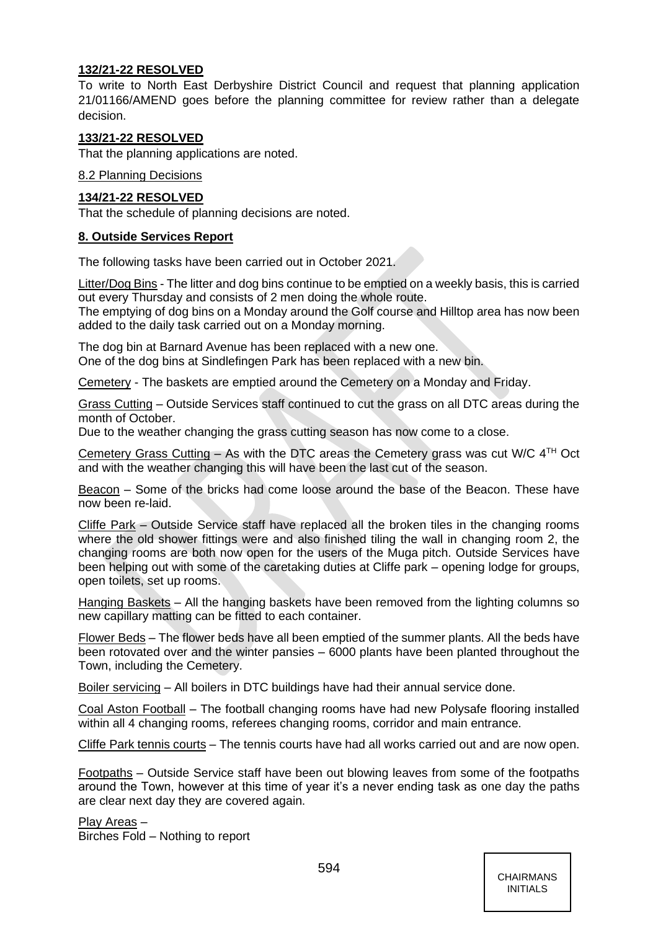## **132/21-22 RESOLVED**

To write to North East Derbyshire District Council and request that planning application 21/01166/AMEND goes before the planning committee for review rather than a delegate decision.

## **133/21-22 RESOLVED**

That the planning applications are noted.

8.2 Planning Decisions

## **134/21-22 RESOLVED**

That the schedule of planning decisions are noted.

## **8. Outside Services Report**

The following tasks have been carried out in October 2021.

Litter/Dog Bins - The litter and dog bins continue to be emptied on a weekly basis, this is carried out every Thursday and consists of 2 men doing the whole route.

The emptying of dog bins on a Monday around the Golf course and Hilltop area has now been added to the daily task carried out on a Monday morning.

The dog bin at Barnard Avenue has been replaced with a new one. One of the dog bins at Sindlefingen Park has been replaced with a new bin.

Cemetery - The baskets are emptied around the Cemetery on a Monday and Friday.

Grass Cutting – Outside Services staff continued to cut the grass on all DTC areas during the month of October.

Due to the weather changing the grass cutting season has now come to a close.

Cemetery Grass Cutting – As with the DTC areas the Cemetery grass was cut W/C  $4<sup>TH</sup>$  Oct and with the weather changing this will have been the last cut of the season.

Beacon – Some of the bricks had come loose around the base of the Beacon. These have now been re-laid.

Cliffe Park – Outside Service staff have replaced all the broken tiles in the changing rooms where the old shower fittings were and also finished tiling the wall in changing room 2, the changing rooms are both now open for the users of the Muga pitch. Outside Services have been helping out with some of the caretaking duties at Cliffe park – opening lodge for groups, open toilets, set up rooms.

Hanging Baskets – All the hanging baskets have been removed from the lighting columns so new capillary matting can be fitted to each container.

Flower Beds – The flower beds have all been emptied of the summer plants. All the beds have been rotovated over and the winter pansies – 6000 plants have been planted throughout the Town, including the Cemetery.

Boiler servicing – All boilers in DTC buildings have had their annual service done.

Coal Aston Football – The football changing rooms have had new Polysafe flooring installed within all 4 changing rooms, referees changing rooms, corridor and main entrance.

Cliffe Park tennis courts – The tennis courts have had all works carried out and are now open.

Footpaths – Outside Service staff have been out blowing leaves from some of the footpaths around the Town, however at this time of year it's a never ending task as one day the paths are clear next day they are covered again.

Play Areas –

Birches Fold – Nothing to report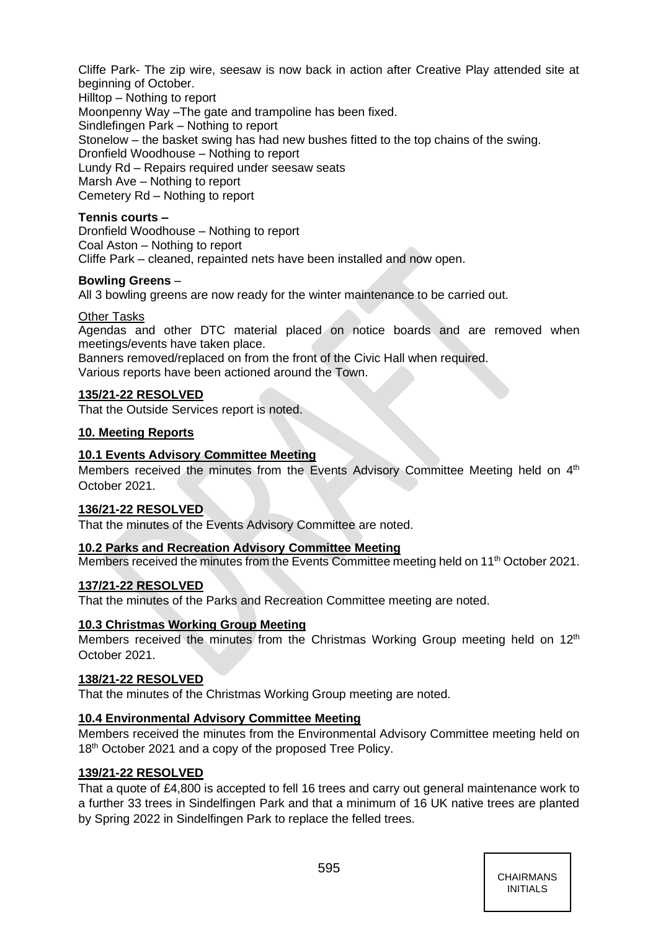Cliffe Park- The zip wire, seesaw is now back in action after Creative Play attended site at beginning of October.

Hilltop – Nothing to report Moonpenny Way –The gate and trampoline has been fixed. Sindlefingen Park – Nothing to report Stonelow – the basket swing has had new bushes fitted to the top chains of the swing. Dronfield Woodhouse – Nothing to report Lundy Rd – Repairs required under seesaw seats Marsh Ave – Nothing to report Cemetery Rd – Nothing to report

## **Tennis courts –**

Dronfield Woodhouse – Nothing to report Coal Aston – Nothing to report Cliffe Park – cleaned, repainted nets have been installed and now open.

## **Bowling Greens** –

All 3 bowling greens are now ready for the winter maintenance to be carried out.

## Other Tasks

Agendas and other DTC material placed on notice boards and are removed when meetings/events have taken place.

Banners removed/replaced on from the front of the Civic Hall when required. Various reports have been actioned around the Town.

## **135/21-22 RESOLVED**

That the Outside Services report is noted.

## **10. Meeting Reports**

## **10.1 Events Advisory Committee Meeting**

Members received the minutes from the Events Advisory Committee Meeting held on  $4<sup>th</sup>$ October 2021.

## **136/21-22 RESOLVED**

That the minutes of the Events Advisory Committee are noted.

## **10.2 Parks and Recreation Advisory Committee Meeting**

Members received the minutes from the Events Committee meeting held on 11<sup>th</sup> October 2021.

## **137/21-22 RESOLVED**

That the minutes of the Parks and Recreation Committee meeting are noted.

## **10.3 Christmas Working Group Meeting**

Members received the minutes from the Christmas Working Group meeting held on  $12<sup>th</sup>$ October 2021.

## **138/21-22 RESOLVED**

That the minutes of the Christmas Working Group meeting are noted.

## **10.4 Environmental Advisory Committee Meeting**

Members received the minutes from the Environmental Advisory Committee meeting held on 18<sup>th</sup> October 2021 and a copy of the proposed Tree Policy.

## **139/21-22 RESOLVED**

That a quote of £4,800 is accepted to fell 16 trees and carry out general maintenance work to a further 33 trees in Sindelfingen Park and that a minimum of 16 UK native trees are planted by Spring 2022 in Sindelfingen Park to replace the felled trees.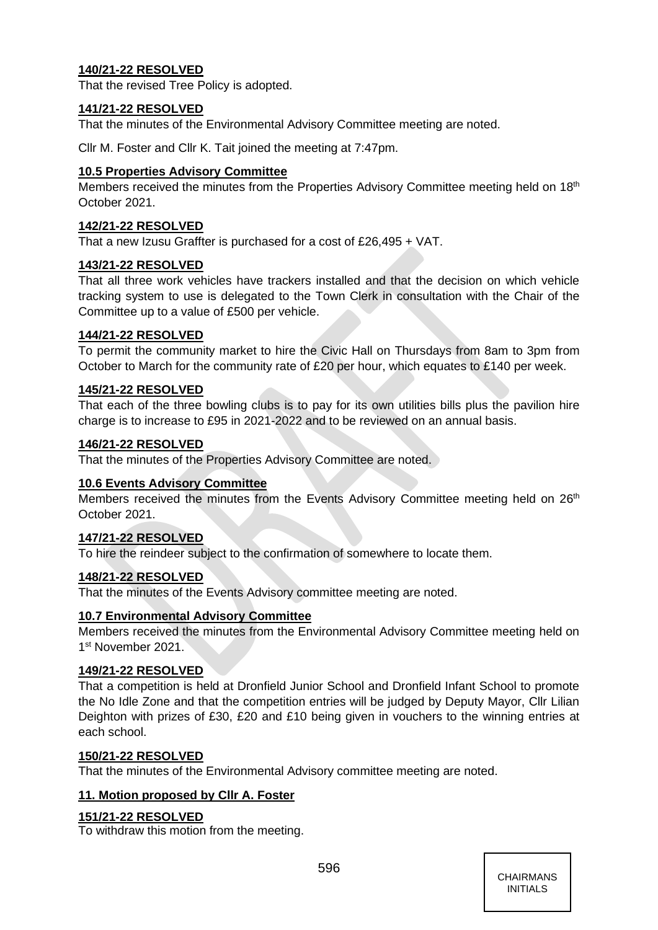# **140/21-22 RESOLVED**

That the revised Tree Policy is adopted.

## **141/21-22 RESOLVED**

That the minutes of the Environmental Advisory Committee meeting are noted.

Cllr M. Foster and Cllr K. Tait joined the meeting at 7:47pm.

## **10.5 Properties Advisory Committee**

Members received the minutes from the Properties Advisory Committee meeting held on 18<sup>th</sup> October 2021.

## **142/21-22 RESOLVED**

That a new Izusu Graffter is purchased for a cost of £26,495 + VAT.

## **143/21-22 RESOLVED**

That all three work vehicles have trackers installed and that the decision on which vehicle tracking system to use is delegated to the Town Clerk in consultation with the Chair of the Committee up to a value of £500 per vehicle.

## **144/21-22 RESOLVED**

To permit the community market to hire the Civic Hall on Thursdays from 8am to 3pm from October to March for the community rate of £20 per hour, which equates to £140 per week.

## **145/21-22 RESOLVED**

That each of the three bowling clubs is to pay for its own utilities bills plus the pavilion hire charge is to increase to £95 in 2021-2022 and to be reviewed on an annual basis.

## **146/21-22 RESOLVED**

That the minutes of the Properties Advisory Committee are noted.

## **10.6 Events Advisory Committee**

Members received the minutes from the Events Advisory Committee meeting held on 26<sup>th</sup> October 2021.

#### **147/21-22 RESOLVED**

To hire the reindeer subject to the confirmation of somewhere to locate them.

#### **148/21-22 RESOLVED**

That the minutes of the Events Advisory committee meeting are noted.

## **10.7 Environmental Advisory Committee**

Members received the minutes from the Environmental Advisory Committee meeting held on 1<sup>st</sup> November 2021.

## **149/21-22 RESOLVED**

That a competition is held at Dronfield Junior School and Dronfield Infant School to promote the No Idle Zone and that the competition entries will be judged by Deputy Mayor, Cllr Lilian Deighton with prizes of £30, £20 and £10 being given in vouchers to the winning entries at each school.

## **150/21-22 RESOLVED**

That the minutes of the Environmental Advisory committee meeting are noted.

## **11. Motion proposed by Cllr A. Foster**

## **151/21-22 RESOLVED**

To withdraw this motion from the meeting.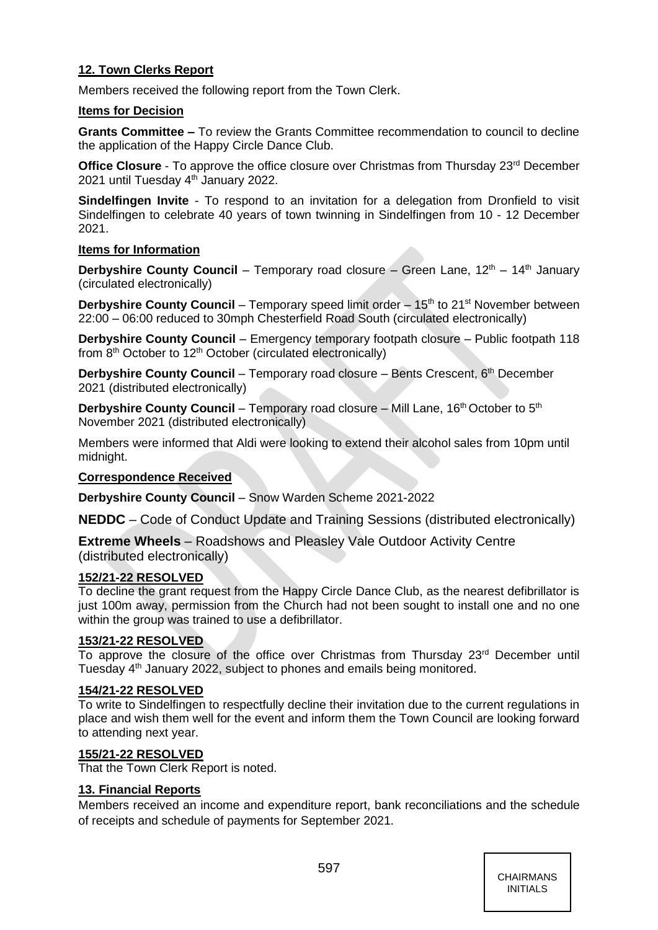# **12. Town Clerks Report**

Members received the following report from the Town Clerk.

## **Items for Decision**

**Grants Committee –** To review the Grants Committee recommendation to council to decline the application of the Happy Circle Dance Club.

**Office Closure** - To approve the office closure over Christmas from Thursday 23<sup>rd</sup> December 2021 until Tuesday 4th January 2022.

**Sindelfingen Invite** - To respond to an invitation for a delegation from Dronfield to visit Sindelfingen to celebrate 40 years of town twinning in Sindelfingen from 10 - 12 December 2021.

## **Items for Information**

**Derbyshire County Council** – Temporary road closure – Green Lane, 12<sup>th</sup> – 14<sup>th</sup> January (circulated electronically)

**Derbyshire County Council** – Temporary speed limit order – 15<sup>th</sup> to 21<sup>st</sup> November between 22:00 – 06:00 reduced to 30mph Chesterfield Road South (circulated electronically)

**Derbyshire County Council** – Emergency temporary footpath closure – Public footpath 118 from  $8<sup>th</sup>$  October to 12<sup>th</sup> October (circulated electronically)

**Derbyshire County Council** – Temporary road closure – Bents Crescent, 6<sup>th</sup> December 2021 (distributed electronically)

**Derbyshire County Council** – Temporary road closure – Mill Lane, 16<sup>th</sup> October to 5<sup>th</sup> November 2021 (distributed electronically)

Members were informed that Aldi were looking to extend their alcohol sales from 10pm until midnight.

# **Correspondence Received**

**Derbyshire County Council** – Snow Warden Scheme 2021-2022

**NEDDC** – Code of Conduct Update and Training Sessions (distributed electronically)

**Extreme Wheels** – Roadshows and Pleasley Vale Outdoor Activity Centre (distributed electronically)

## **152/21-22 RESOLVED**

To decline the grant request from the Happy Circle Dance Club, as the nearest defibrillator is just 100m away, permission from the Church had not been sought to install one and no one within the group was trained to use a defibrillator.

## **153/21-22 RESOLVED**

To approve the closure of the office over Christmas from Thursday  $23<sup>rd</sup>$  December until Tuesday 4th January 2022, subject to phones and emails being monitored.

## **154/21-22 RESOLVED**

To write to Sindelfingen to respectfully decline their invitation due to the current regulations in place and wish them well for the event and inform them the Town Council are looking forward to attending next year.

## **155/21-22 RESOLVED**

That the Town Clerk Report is noted.

## **13. Financial Reports**

Members received an income and expenditure report, bank reconciliations and the schedule of receipts and schedule of payments for September 2021.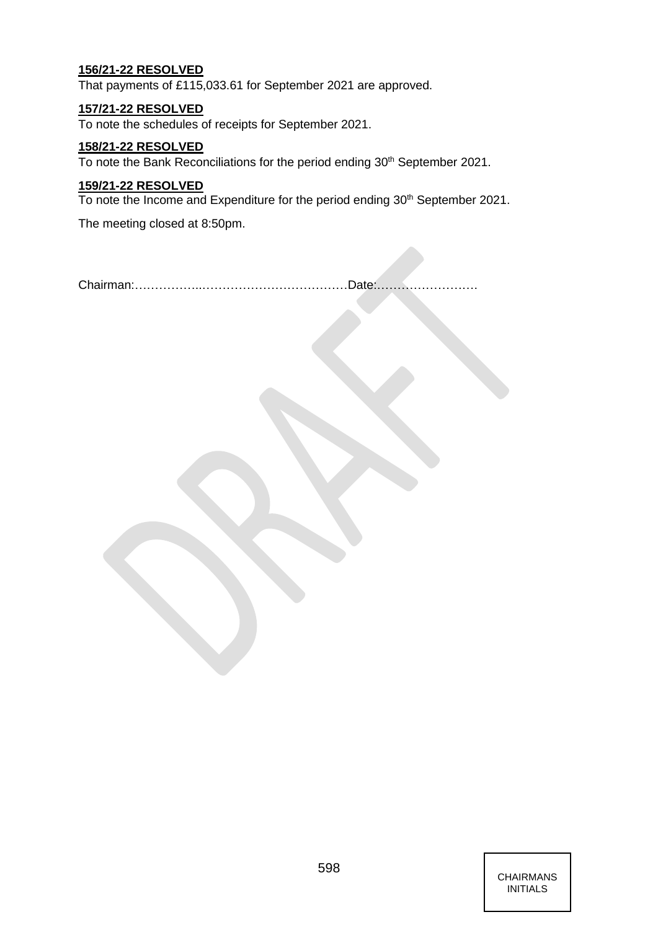## **156/21-22 RESOLVED**

That payments of £115,033.61 for September 2021 are approved.

## **157/21-22 RESOLVED**

To note the schedules of receipts for September 2021.

## **158/21-22 RESOLVED**

To note the Bank Reconciliations for the period ending 30<sup>th</sup> September 2021.

## **159/21-22 RESOLVED**

To note the Income and Expenditure for the period ending 30<sup>th</sup> September 2021.

The meeting closed at 8:50pm.

Chairman:……………..………………………………Date:…………………….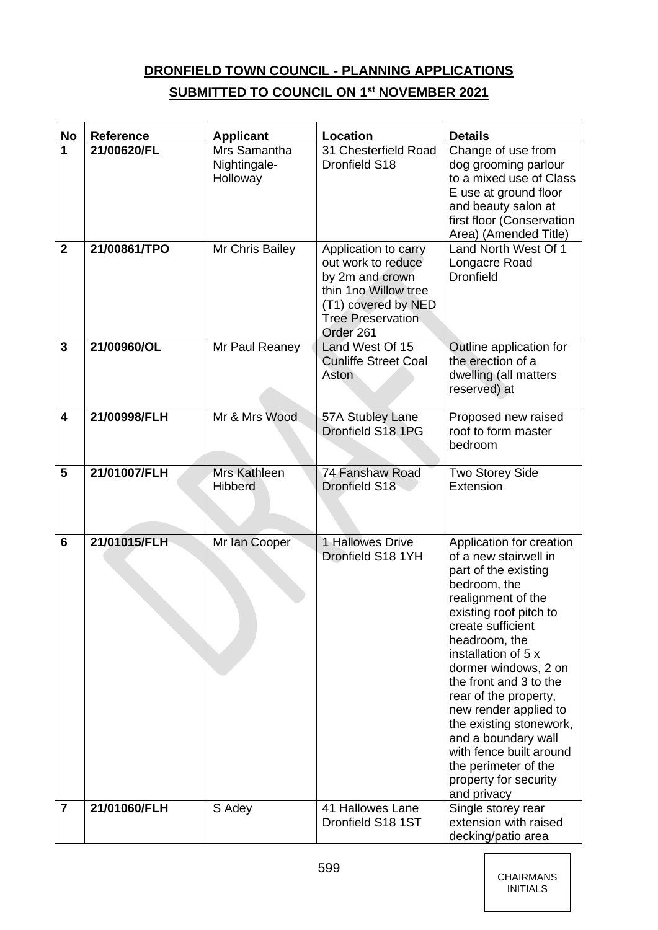# **DRONFIELD TOWN COUNCIL - PLANNING APPLICATIONS**

# **SUBMITTED TO COUNCIL ON 1 st NOVEMBER 2021**

| No                      | <b>Reference</b> | <b>Applicant</b>                         | <b>Location</b>                                                                                                                                       | <b>Details</b>                                                                                                                                                                                                                                                                                                                                                                                                                                          |
|-------------------------|------------------|------------------------------------------|-------------------------------------------------------------------------------------------------------------------------------------------------------|---------------------------------------------------------------------------------------------------------------------------------------------------------------------------------------------------------------------------------------------------------------------------------------------------------------------------------------------------------------------------------------------------------------------------------------------------------|
| 1                       | 21/00620/FL      | Mrs Samantha<br>Nightingale-<br>Holloway | 31 Chesterfield Road<br>Dronfield S18                                                                                                                 | Change of use from<br>dog grooming parlour<br>to a mixed use of Class<br>E use at ground floor<br>and beauty salon at<br>first floor (Conservation<br>Area) (Amended Title)                                                                                                                                                                                                                                                                             |
| $\mathbf 2$             | 21/00861/TPO     | Mr Chris Bailey                          | Application to carry<br>out work to reduce<br>by 2m and crown<br>thin 1no Willow tree<br>(T1) covered by NED<br><b>Tree Preservation</b><br>Order 261 | Land North West Of 1<br>Longacre Road<br><b>Dronfield</b>                                                                                                                                                                                                                                                                                                                                                                                               |
| 3                       | 21/00960/OL      | Mr Paul Reaney                           | Land West Of 15<br><b>Cunliffe Street Coal</b><br>Aston                                                                                               | Outline application for<br>the erection of a<br>dwelling (all matters<br>reserved) at                                                                                                                                                                                                                                                                                                                                                                   |
| $\overline{\mathbf{4}}$ | 21/00998/FLH     | Mr & Mrs Wood                            | 57A Stubley Lane<br>Dronfield S18 1PG                                                                                                                 | Proposed new raised<br>roof to form master<br>bedroom                                                                                                                                                                                                                                                                                                                                                                                                   |
| 5                       | 21/01007/FLH     | Mrs Kathleen<br><b>Hibberd</b>           | 74 Fanshaw Road<br>Dronfield S18                                                                                                                      | Two Storey Side<br>Extension                                                                                                                                                                                                                                                                                                                                                                                                                            |
| 6                       | 21/01015/FLH     | Mr Ian Cooper                            | 1 Hallowes Drive<br>Dronfield S18 1YH                                                                                                                 | Application for creation<br>of a new stairwell in<br>part of the existing<br>bedroom, the<br>realignment of the<br>existing roof pitch to<br>create sufficient<br>headroom, the<br>installation of 5 x<br>dormer windows, 2 on<br>the front and 3 to the<br>rear of the property,<br>new render applied to<br>the existing stonework,<br>and a boundary wall<br>with fence built around<br>the perimeter of the<br>property for security<br>and privacy |
| $\overline{7}$          | 21/01060/FLH     | S Adey                                   | 41 Hallowes Lane<br>Dronfield S18 1ST                                                                                                                 | Single storey rear<br>extension with raised<br>decking/patio area                                                                                                                                                                                                                                                                                                                                                                                       |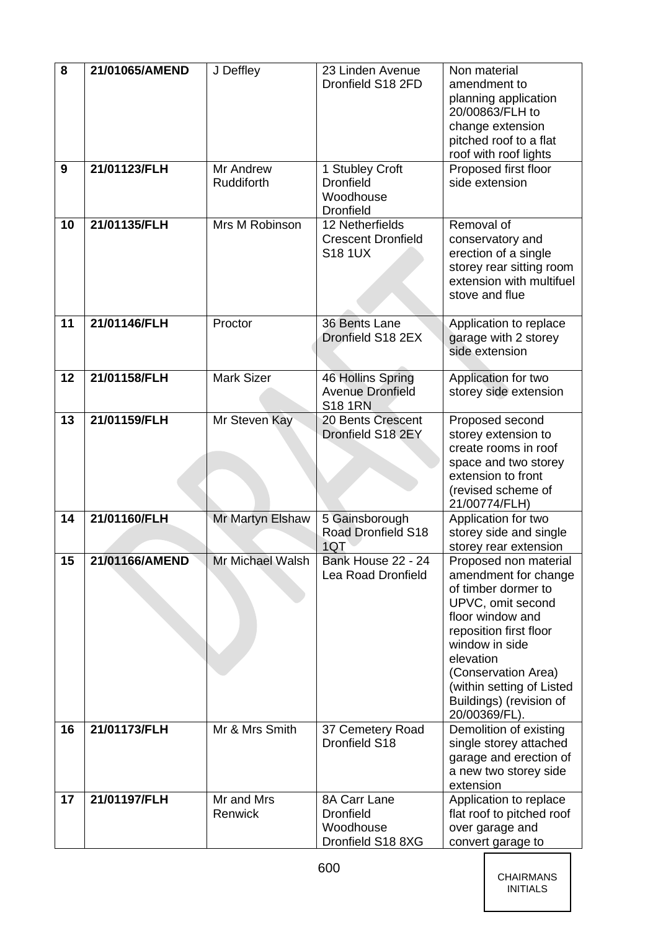| 8  | 21/01065/AMEND | J Deffley               | 23 Linden Avenue<br>Dronfield S18 2FD                                | Non material<br>amendment to<br>planning application<br>20/00863/FLH to<br>change extension<br>pitched roof to a flat<br>roof with roof lights                                                                                                                         |
|----|----------------|-------------------------|----------------------------------------------------------------------|------------------------------------------------------------------------------------------------------------------------------------------------------------------------------------------------------------------------------------------------------------------------|
| 9  | 21/01123/FLH   | Mr Andrew<br>Ruddiforth | 1 Stubley Croft<br><b>Dronfield</b><br>Woodhouse<br><b>Dronfield</b> | Proposed first floor<br>side extension                                                                                                                                                                                                                                 |
| 10 | 21/01135/FLH   | Mrs M Robinson          | 12 Netherfields<br><b>Crescent Dronfield</b><br><b>S18 1UX</b>       | Removal of<br>conservatory and<br>erection of a single<br>storey rear sitting room<br>extension with multifuel<br>stove and flue                                                                                                                                       |
| 11 | 21/01146/FLH   | Proctor                 | 36 Bents Lane<br>Dronfield S18 2EX                                   | Application to replace<br>garage with 2 storey<br>side extension                                                                                                                                                                                                       |
| 12 | 21/01158/FLH   | <b>Mark Sizer</b>       | 46 Hollins Spring<br><b>Avenue Dronfield</b><br><b>S18 1RN</b>       | Application for two<br>storey side extension                                                                                                                                                                                                                           |
| 13 | 21/01159/FLH   | Mr Steven Kay           | 20 Bents Crescent<br>Dronfield S18 2EY                               | Proposed second<br>storey extension to<br>create rooms in roof<br>space and two storey<br>extension to front<br>(revised scheme of<br>21/00774/FLH)                                                                                                                    |
| 14 | 21/01160/FLH   | Mr Martyn Elshaw        | 5 Gainsborough<br>Road Dronfield S18<br>1QT                          | Application for two<br>storey side and single<br>storey rear extension                                                                                                                                                                                                 |
| 15 | 21/01166/AMEND | Mr Michael Walsh        | Bank House 22 - 24<br><b>Lea Road Dronfield</b>                      | Proposed non material<br>amendment for change<br>of timber dormer to<br>UPVC, omit second<br>floor window and<br>reposition first floor<br>window in side<br>elevation<br>(Conservation Area)<br>(within setting of Listed<br>Buildings) (revision of<br>20/00369/FL). |
| 16 | 21/01173/FLH   | Mr & Mrs Smith          | 37 Cemetery Road<br>Dronfield S18                                    | Demolition of existing<br>single storey attached<br>garage and erection of<br>a new two storey side<br>extension                                                                                                                                                       |
| 17 | 21/01197/FLH   | Mr and Mrs<br>Renwick   | 8A Carr Lane<br><b>Dronfield</b><br>Woodhouse<br>Dronfield S18 8XG   | Application to replace<br>flat roof to pitched roof<br>over garage and<br>convert garage to                                                                                                                                                                            |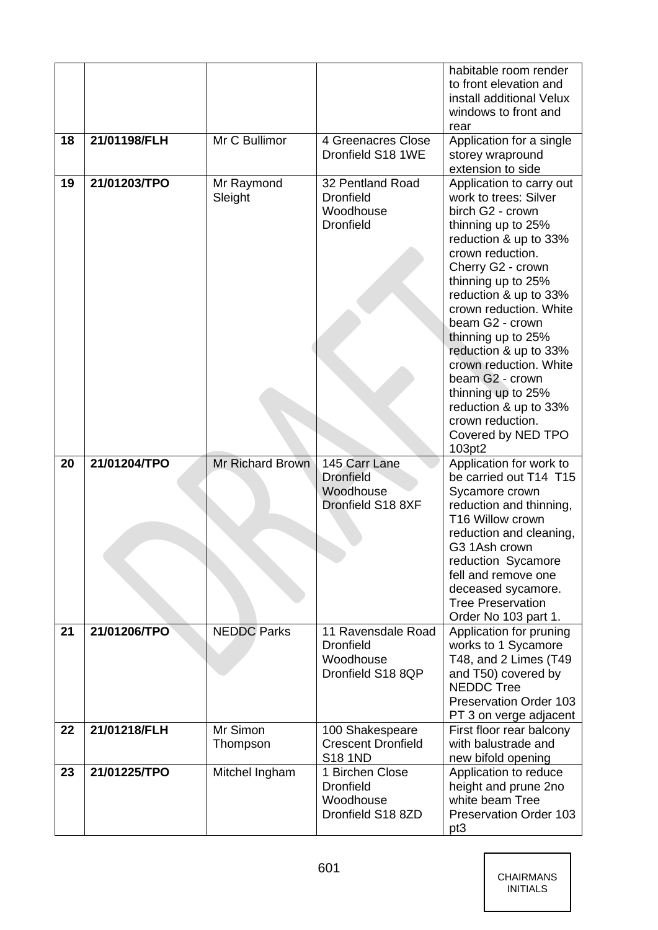|    |              |                       |                                                                          | habitable room render<br>to front elevation and<br>install additional Velux<br>windows to front and<br>rear                                                                                                                                                                                                                                                                                                                                              |
|----|--------------|-----------------------|--------------------------------------------------------------------------|----------------------------------------------------------------------------------------------------------------------------------------------------------------------------------------------------------------------------------------------------------------------------------------------------------------------------------------------------------------------------------------------------------------------------------------------------------|
| 18 | 21/01198/FLH | Mr C Bullimor         | 4 Greenacres Close<br>Dronfield S18 1WE                                  | Application for a single<br>storey wrapround<br>extension to side                                                                                                                                                                                                                                                                                                                                                                                        |
| 19 | 21/01203/TPO | Mr Raymond<br>Sleight | 32 Pentland Road<br><b>Dronfield</b><br>Woodhouse<br><b>Dronfield</b>    | Application to carry out<br>work to trees: Silver<br>birch G2 - crown<br>thinning up to 25%<br>reduction & up to 33%<br>crown reduction.<br>Cherry G2 - crown<br>thinning up to 25%<br>reduction & up to 33%<br>crown reduction. White<br>beam G2 - crown<br>thinning up to 25%<br>reduction & up to 33%<br>crown reduction. White<br>beam G2 - crown<br>thinning up to 25%<br>reduction & up to 33%<br>crown reduction.<br>Covered by NED TPO<br>103pt2 |
| 20 | 21/01204/TPO | Mr Richard Brown      | 145 Carr Lane<br><b>Dronfield</b><br>Woodhouse<br>Dronfield S18 8XF      | Application for work to<br>be carried out T14 T15<br>Sycamore crown<br>reduction and thinning,<br>T16 Willow crown<br>reduction and cleaning,<br>G3 1Ash crown<br>reduction Sycamore<br>fell and remove one<br>deceased sycamore.<br><b>Tree Preservation</b><br>Order No 103 part 1.                                                                                                                                                                    |
| 21 | 21/01206/TPO | <b>NEDDC</b> Parks    | 11 Ravensdale Road<br><b>Dronfield</b><br>Woodhouse<br>Dronfield S18 8QP | Application for pruning<br>works to 1 Sycamore<br>T48, and 2 Limes (T49<br>and T50) covered by<br><b>NEDDC Tree</b><br><b>Preservation Order 103</b><br>PT 3 on verge adjacent                                                                                                                                                                                                                                                                           |
| 22 | 21/01218/FLH | Mr Simon<br>Thompson  | 100 Shakespeare<br><b>Crescent Dronfield</b><br><b>S18 1ND</b>           | First floor rear balcony<br>with balustrade and<br>new bifold opening                                                                                                                                                                                                                                                                                                                                                                                    |
| 23 | 21/01225/TPO | Mitchel Ingham        | 1 Birchen Close<br><b>Dronfield</b><br>Woodhouse<br>Dronfield S18 8ZD    | Application to reduce<br>height and prune 2no<br>white beam Tree<br><b>Preservation Order 103</b><br>pt <sub>3</sub>                                                                                                                                                                                                                                                                                                                                     |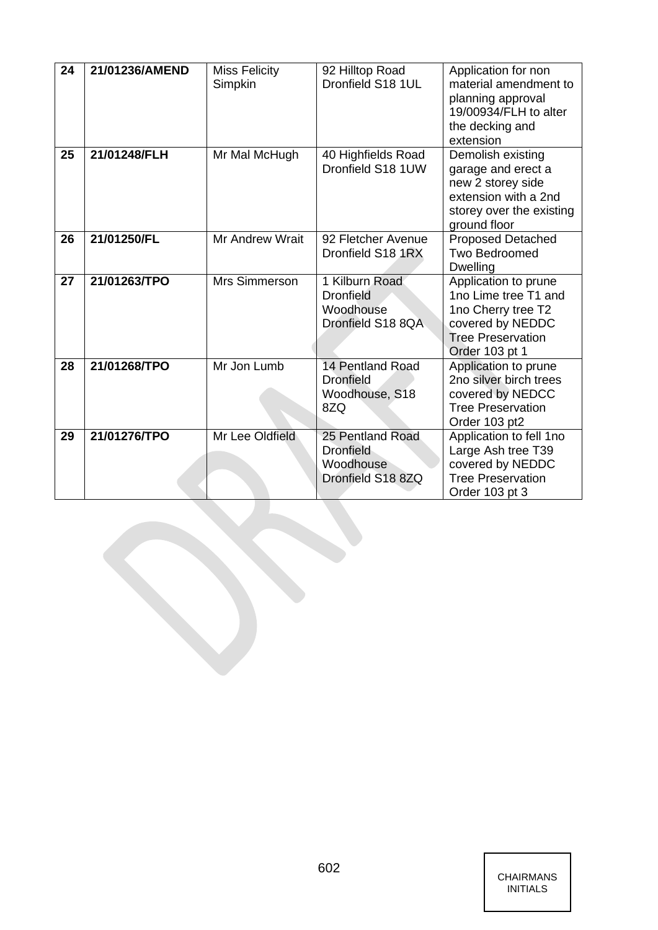| 24 | 21/01236/AMEND | <b>Miss Felicity</b><br>Simpkin | 92 Hilltop Road<br>Dronfield S18 1UL                                   | Application for non<br>material amendment to<br>planning approval<br>19/00934/FLH to alter<br>the decking and<br>extension           |
|----|----------------|---------------------------------|------------------------------------------------------------------------|--------------------------------------------------------------------------------------------------------------------------------------|
| 25 | 21/01248/FLH   | Mr Mal McHugh                   | 40 Highfields Road<br>Dronfield S18 1UW                                | Demolish existing<br>garage and erect a<br>new 2 storey side<br>extension with a 2nd<br>storey over the existing<br>ground floor     |
| 26 | 21/01250/FL    | Mr Andrew Wrait                 | 92 Fletcher Avenue<br>Dronfield S18 1RX                                | Proposed Detached<br><b>Two Bedroomed</b><br><b>Dwelling</b>                                                                         |
| 27 | 21/01263/TPO   | Mrs Simmerson                   | 1 Kilburn Road<br><b>Dronfield</b><br>Woodhouse<br>Dronfield S18 8QA   | Application to prune<br>1no Lime tree T1 and<br>1no Cherry tree T2<br>covered by NEDDC<br><b>Tree Preservation</b><br>Order 103 pt 1 |
| 28 | 21/01268/TPO   | Mr Jon Lumb                     | 14 Pentland Road<br><b>Dronfield</b><br>Woodhouse, S18<br>8ZQ          | Application to prune<br>2no silver birch trees<br>covered by NEDCC<br><b>Tree Preservation</b><br>Order 103 pt2                      |
| 29 | 21/01276/TPO   | Mr Lee Oldfield                 | 25 Pentland Road<br><b>Dronfield</b><br>Woodhouse<br>Dronfield S18 8ZQ | Application to fell 1no<br>Large Ash tree T39<br>covered by NEDDC<br><b>Tree Preservation</b><br>Order 103 pt 3                      |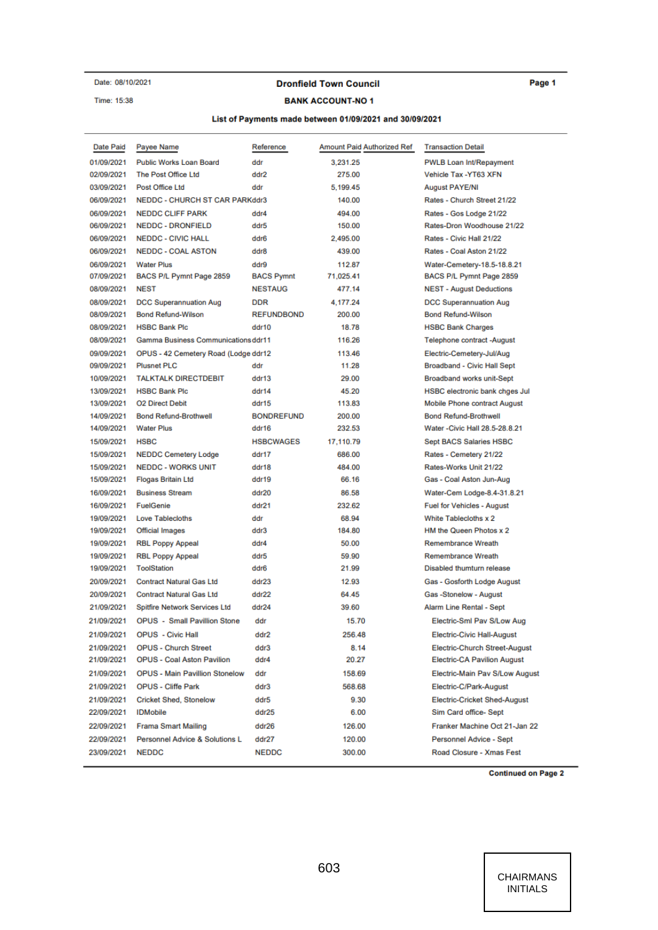Date: 08/10/2021

## Time: 15:38

#### **Dronfield Town Council**

#### **BANK ACCOUNT-NO1**

#### Page 1

# List of Payments made between 01/09/2021 and 30/09/2021

| Date Paid  | Payee Name                                 | Reference         | Amount Paid Authorized Ref | <b>Transaction Detail</b>             |
|------------|--------------------------------------------|-------------------|----------------------------|---------------------------------------|
| 01/09/2021 | <b>Public Works Loan Board</b>             | ddr               | 3.231.25                   | PWLB Loan Int/Repayment               |
| 02/09/2021 | The Post Office Ltd                        | ddr2              | 275.00                     | Vehicle Tax -YT63 XFN                 |
| 03/09/2021 | Post Office Ltd                            | ddr               | 5,199.45                   | <b>August PAYE/NI</b>                 |
| 06/09/2021 | NEDDC - CHURCH ST CAR PARKddr3             |                   | 140.00                     | Rates - Church Street 21/22           |
| 06/09/2021 | <b>NEDDC CLIFF PARK</b>                    | ddr4              | 494.00                     | Rates - Gos Lodge 21/22               |
| 06/09/2021 | <b>NEDDC - DRONFIELD</b>                   | ddr5              | 150.00                     | Rates-Dron Woodhouse 21/22            |
| 06/09/2021 | <b>NEDDC - CIVIC HALL</b>                  | ddr6              | 2,495.00                   | Rates - Civic Hall 21/22              |
| 06/09/2021 | <b>NEDDC - COAL ASTON</b>                  | ddr8              | 439.00                     | Rates - Coal Aston 21/22              |
| 06/09/2021 | <b>Water Plus</b>                          | ddr9              | 112.87                     | Water-Cemetery-18.5-18.8.21           |
| 07/09/2021 | BACS P/L Pymnt Page 2859                   | <b>BACS Pymnt</b> | 71,025.41                  | BACS P/L Pymnt Page 2859              |
| 08/09/2021 | <b>NEST</b>                                | <b>NESTAUG</b>    | 477.14                     | <b>NEST - August Deductions</b>       |
| 08/09/2021 | <b>DCC Superannuation Aug</b>              | DDR               | 4,177.24                   | DCC Superannuation Aug                |
| 08/09/2021 | <b>Bond Refund-Wilson</b>                  | <b>REFUNDBOND</b> | 200.00                     | <b>Bond Refund-Wilson</b>             |
| 08/09/2021 | <b>HSBC Bank Plc</b>                       | ddr10             | 18.78                      | <b>HSBC Bank Charges</b>              |
| 08/09/2021 | <b>Gamma Business Communications ddr11</b> |                   | 116.26                     | Telephone contract -August            |
| 09/09/2021 | OPUS - 42 Cemetery Road (Lodge ddr12       |                   | 113.46                     | Electric-Cemetery-Jul/Aug             |
| 09/09/2021 | <b>Plusnet PLC</b>                         | ddr               | 11.28                      | Broadband - Civic Hall Sept           |
| 10/09/2021 | <b>TALKTALK DIRECTDEBIT</b>                | ddr13             | 29.00                      | Broadband works unit-Sept             |
| 13/09/2021 | <b>HSBC Bank Plc</b>                       | ddr14             | 45.20                      | <b>HSBC electronic bank chges Jul</b> |
| 13/09/2021 | <b>O2 Direct Debit</b>                     | ddr15             | 113.83                     | Mobile Phone contract August          |
| 14/09/2021 | <b>Bond Refund-Brothwell</b>               | <b>BONDREFUND</b> | 200.00                     | <b>Bond Refund-Brothwell</b>          |
| 14/09/2021 | <b>Water Plus</b>                          | ddr16             | 232.53                     | Water - Civic Hall 28.5-28.8.21       |
| 15/09/2021 | <b>HSBC</b>                                | <b>HSBCWAGES</b>  | 17,110.79                  | <b>Sept BACS Salaries HSBC</b>        |
| 15/09/2021 | <b>NEDDC Cemetery Lodge</b>                | ddr17             | 686.00                     | Rates - Cemetery 21/22                |
| 15/09/2021 | <b>NEDDC - WORKS UNIT</b>                  | ddr18             | 484.00                     | Rates-Works Unit 21/22                |
| 15/09/2021 | <b>Flogas Britain Ltd</b>                  | ddr19             | 66.16                      | Gas - Coal Aston Jun-Aug              |
| 16/09/2021 | <b>Business Stream</b>                     | ddr20             | 86.58                      | Water-Cem Lodge-8.4-31.8.21           |
| 16/09/2021 | FuelGenie                                  | ddr21             | 232.62                     | <b>Fuel for Vehicles - August</b>     |
| 19/09/2021 | <b>Love Tablecloths</b>                    | ddr               | 68.94                      | White Tablecloths x 2                 |
| 19/09/2021 | Official Images                            | ddr3              | 184.80                     | HM the Queen Photos x 2               |
| 19/09/2021 | <b>RBL Poppy Appeal</b>                    | ddr4              | 50.00                      | <b>Remembrance Wreath</b>             |
| 19/09/2021 | <b>RBL Poppy Appeal</b>                    | ddr5              | 59.90                      | Remembrance Wreath                    |
| 19/09/2021 | ToolStation                                | ddr6              | 21.99                      | Disabled thumturn release             |
| 20/09/2021 | <b>Contract Natural Gas Ltd</b>            | ddr23             | 12.93                      | Gas - Gosforth Lodge August           |
| 20/09/2021 | <b>Contract Natural Gas Ltd</b>            | ddr22             | 64.45                      | Gas-Stonelow - August                 |
| 21/09/2021 | Spitfire Network Services Ltd              | ddr24             | 39.60                      | Alarm Line Rental - Sept              |
| 21/09/2021 | <b>OPUS - Small Pavillion Stone</b>        | ddr               | 15.70                      | Electric-Sml Pav S/Low Aug            |
| 21/09/2021 | <b>OPUS</b> - Civic Hall                   | ddr2              | 256.48                     | Electric-Civic Hall-August            |
| 21/09/2021 | <b>OPUS - Church Street</b>                | ddr3              | 8.14                       | <b>Electric-Church Street-August</b>  |
| 21/09/2021 | <b>OPUS - Coal Aston Pavilion</b>          | ddr4              | 20.27                      | <b>Electric-CA Pavilion August</b>    |
| 21/09/2021 | <b>OPUS - Main Pavillion Stonelow</b>      | ddr               | 158.69                     | Electric-Main Pav S/Low August        |
| 21/09/2021 | <b>OPUS - Cliffe Park</b>                  | ddr3              | 568.68                     | Electric-C/Park-August                |
| 21/09/2021 | Cricket Shed, Stonelow                     | ddr5              | 9.30                       | <b>Electric-Cricket Shed-August</b>   |
| 22/09/2021 | <b>IDMobile</b>                            | ddr25             | 6.00                       | Sim Card office- Sept                 |
| 22/09/2021 | <b>Frama Smart Mailing</b>                 | ddr26             | 126.00                     | Franker Machine Oct 21-Jan 22         |
| 22/09/2021 | Personnel Advice & Solutions L             | ddr27             | 120.00                     | Personnel Advice - Sept               |
| 23/09/2021 | <b>NEDDC</b>                               | <b>NEDDC</b>      | 300.00                     | Road Closure - Xmas Fest              |

**Continued on Page 2**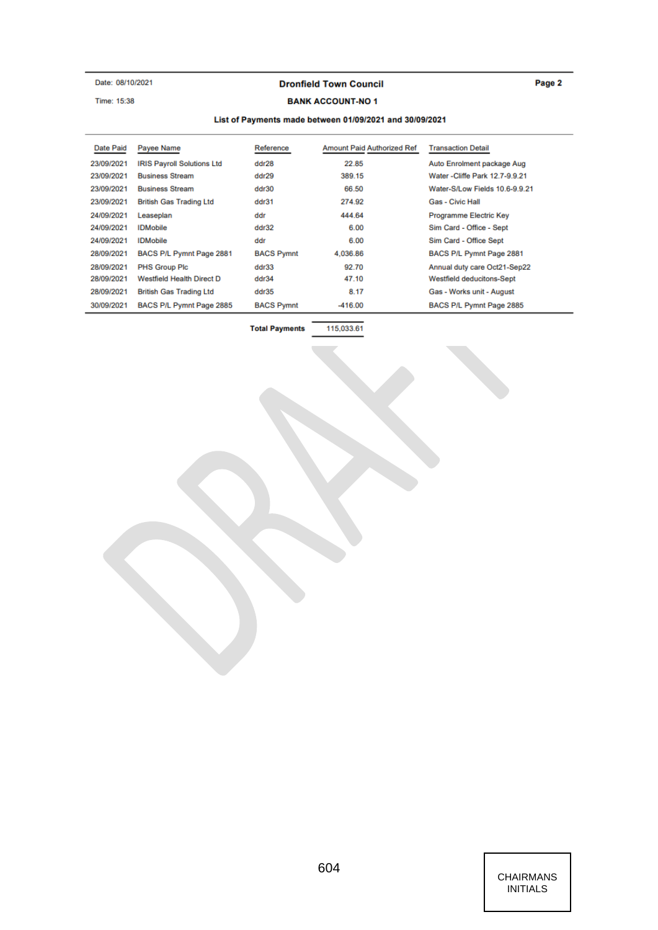Date: 08/10/2021

Time: 15:38

## **Dronfield Town Council**

# Page 2

#### **BANK ACCOUNT-NO1**

#### List of Payments made between 01/09/2021 and 30/09/2021

| Date Paid  | Payee Name                        | Reference         | <b>Amount Paid Authorized Ref</b> | <b>Transaction Detail</b>       |
|------------|-----------------------------------|-------------------|-----------------------------------|---------------------------------|
| 23/09/2021 | <b>IRIS Payroll Solutions Ltd</b> | ddr28             | 22.85                             | Auto Enrolment package Aug      |
| 23/09/2021 | <b>Business Stream</b>            | ddr29             | 389.15                            | Water - Cliffe Park 12.7-9.9.21 |
| 23/09/2021 | <b>Business Stream</b>            | ddr30             | 66.50                             | Water-S/Low Fields 10.6-9.9.21  |
| 23/09/2021 | <b>British Gas Trading Ltd</b>    | ddr31             | 274.92                            | <b>Gas - Civic Hall</b>         |
| 24/09/2021 | Leaseplan                         | ddr               | 444.64                            | Programme Electric Key          |
| 24/09/2021 | <b>IDMobile</b>                   | ddr32             | 6.00                              | Sim Card - Office - Sept        |
| 24/09/2021 | <b>IDMobile</b>                   | ddr               | 6.00                              | Sim Card - Office Sept          |
| 28/09/2021 | BACS P/L Pymnt Page 2881          | <b>BACS Pymnt</b> | 4.036.86                          | BACS P/L Pymnt Page 2881        |
| 28/09/2021 | <b>PHS Group Plc</b>              | ddr33             | 92.70                             | Annual duty care Oct21-Sep22    |
| 28/09/2021 | <b>Westfield Health Direct D</b>  | ddr34             | 47.10                             | Westfield deducitons-Sept       |
| 28/09/2021 | <b>British Gas Trading Ltd</b>    | ddr35             | 8.17                              | Gas - Works unit - August       |
| 30/09/2021 | BACS P/L Pymnt Page 2885          | <b>BACS Pymnt</b> | $-416.00$                         | BACS P/L Pymnt Page 2885        |

**Total Payments** 

115,033.61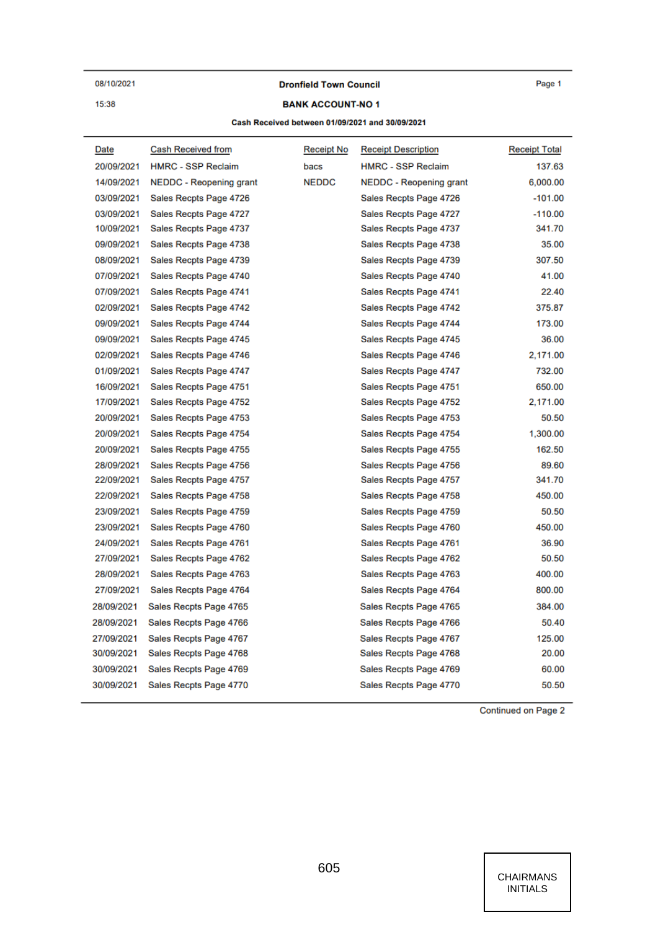08/10/2021

15:38

**Dronfield Town Council** 

Page 1

#### **BANK ACCOUNT-NO1**

#### Cash Received between 01/09/2021 and 30/09/2021

| Date       | Cash Received from        | Receipt No   | <b>Receipt Description</b>     | <b>Receipt Total</b> |
|------------|---------------------------|--------------|--------------------------------|----------------------|
| 20/09/2021 | <b>HMRC - SSP Reclaim</b> | bacs         | <b>HMRC - SSP Reclaim</b>      | 137.63               |
| 14/09/2021 | NEDDC - Reopening grant   | <b>NEDDC</b> | <b>NEDDC</b> - Reopening grant | 6,000.00             |
| 03/09/2021 | Sales Recpts Page 4726    |              | Sales Recpts Page 4726         | $-101.00$            |
| 03/09/2021 | Sales Recpts Page 4727    |              | Sales Recpts Page 4727         | $-110.00$            |
| 10/09/2021 | Sales Recpts Page 4737    |              | Sales Recpts Page 4737         | 341.70               |
| 09/09/2021 | Sales Recpts Page 4738    |              | Sales Recpts Page 4738         | 35.00                |
| 08/09/2021 | Sales Recpts Page 4739    |              | Sales Recpts Page 4739         | 307.50               |
| 07/09/2021 | Sales Recpts Page 4740    |              | Sales Recpts Page 4740         | 41.00                |
| 07/09/2021 | Sales Recpts Page 4741    |              | Sales Recpts Page 4741         | 22.40                |
| 02/09/2021 | Sales Recpts Page 4742    |              | Sales Recpts Page 4742         | 375.87               |
| 09/09/2021 | Sales Recpts Page 4744    |              | Sales Recpts Page 4744         | 173.00               |
| 09/09/2021 | Sales Recpts Page 4745    |              | Sales Recpts Page 4745         | 36.00                |
| 02/09/2021 | Sales Recpts Page 4746    |              | Sales Recpts Page 4746         | 2,171.00             |
| 01/09/2021 | Sales Recpts Page 4747    |              | Sales Recpts Page 4747         | 732.00               |
| 16/09/2021 | Sales Recpts Page 4751    |              | Sales Recpts Page 4751         | 650.00               |
| 17/09/2021 | Sales Recpts Page 4752    |              | Sales Recpts Page 4752         | 2,171.00             |
| 20/09/2021 | Sales Recpts Page 4753    |              | Sales Recpts Page 4753         | 50.50                |
| 20/09/2021 | Sales Recpts Page 4754    |              | Sales Recpts Page 4754         | 1,300.00             |
| 20/09/2021 | Sales Recpts Page 4755    |              | Sales Recpts Page 4755         | 162.50               |
| 28/09/2021 | Sales Recpts Page 4756    |              | Sales Recpts Page 4756         | 89.60                |
| 22/09/2021 | Sales Recpts Page 4757    |              | Sales Recpts Page 4757         | 341.70               |
| 22/09/2021 | Sales Recpts Page 4758    |              | Sales Recpts Page 4758         | 450.00               |
| 23/09/2021 | Sales Recpts Page 4759    |              | Sales Recpts Page 4759         | 50.50                |
| 23/09/2021 | Sales Recpts Page 4760    |              | Sales Recpts Page 4760         | 450.00               |
| 24/09/2021 | Sales Recpts Page 4761    |              | Sales Recpts Page 4761         | 36.90                |
| 27/09/2021 | Sales Recpts Page 4762    |              | Sales Recpts Page 4762         | 50.50                |
| 28/09/2021 | Sales Recpts Page 4763    |              | Sales Recpts Page 4763         | 400.00               |
| 27/09/2021 | Sales Recpts Page 4764    |              | Sales Recpts Page 4764         | 800.00               |
| 28/09/2021 | Sales Recpts Page 4765    |              | Sales Recpts Page 4765         | 384.00               |
| 28/09/2021 | Sales Recpts Page 4766    |              | Sales Recpts Page 4766         | 50.40                |
| 27/09/2021 | Sales Recpts Page 4767    |              | Sales Recpts Page 4767         | 125.00               |
| 30/09/2021 | Sales Recpts Page 4768    |              | Sales Recpts Page 4768         | 20.00                |
| 30/09/2021 | Sales Recpts Page 4769    |              | Sales Recpts Page 4769         | 60.00                |
| 30/09/2021 | Sales Recpts Page 4770    |              | Sales Recpts Page 4770         | 50.50                |

Continued on Page 2